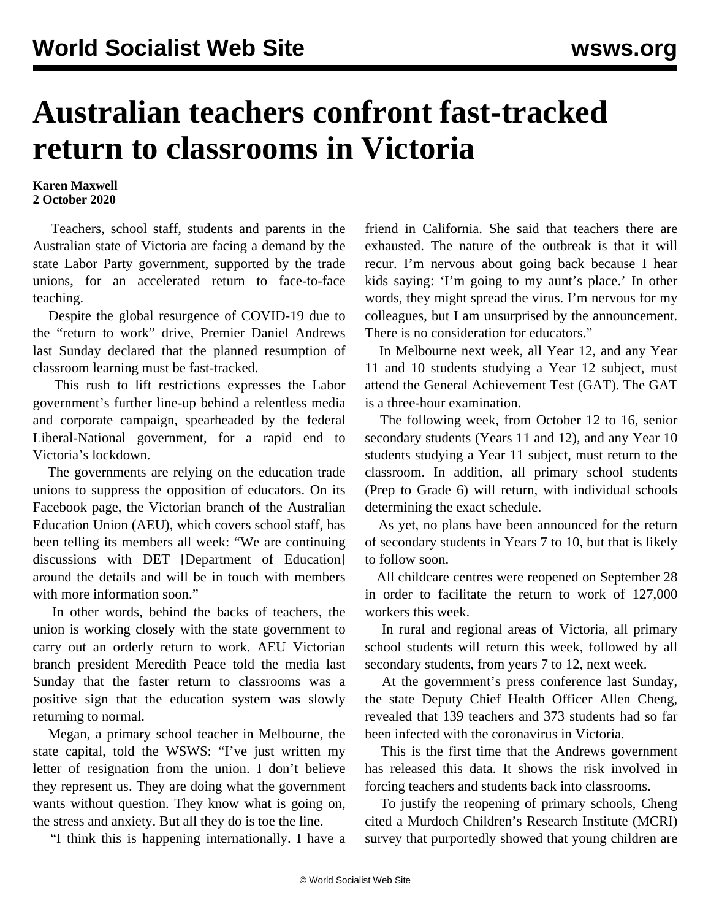## **Australian teachers confront fast-tracked return to classrooms in Victoria**

## **Karen Maxwell 2 October 2020**

 Teachers, school staff, students and parents in the Australian state of Victoria are facing a demand by the state Labor Party government, supported by the trade unions, for an accelerated return to face-to-face teaching.

 Despite the global resurgence of COVID-19 due to the "return to work" drive, Premier Daniel Andrews last Sunday declared that the planned resumption of classroom learning must be fast-tracked.

 This rush to lift restrictions expresses the Labor government's further line-up behind a relentless media and corporate campaign, spearheaded by the federal Liberal-National government, for a rapid end to Victoria's lockdown.

 The governments are relying on the education trade unions to suppress the opposition of educators. On its Facebook page, the Victorian branch of the Australian Education Union (AEU), which covers school staff, has been telling its members all week: "We are continuing discussions with DET [Department of Education] around the details and will be in touch with members with more information soon."

 In other words, behind the backs of teachers, the union is working closely with the state government to carry out an orderly return to work. AEU Victorian branch president Meredith Peace told the media last Sunday that the faster return to classrooms was a positive sign that the education system was slowly returning to normal.

 Megan, a primary school teacher in Melbourne, the state capital, told the WSWS: "I've just written my letter of resignation from the union. I don't believe they represent us. They are doing what the government wants without question. They know what is going on, the stress and anxiety. But all they do is toe the line.

"I think this is happening internationally. I have a

friend in California. She said that teachers there are exhausted. The nature of the outbreak is that it will recur. I'm nervous about going back because I hear kids saying: 'I'm going to my aunt's place.' In other words, they might spread the virus. I'm nervous for my colleagues, but I am unsurprised by the announcement. There is no consideration for educators."

 In Melbourne next week, all Year 12, and any Year 11 and 10 students studying a Year 12 subject, must attend the General Achievement Test (GAT). The GAT is a three-hour examination.

 The following week, from October 12 to 16, senior secondary students (Years 11 and 12), and any Year 10 students studying a Year 11 subject, must return to the classroom. In addition, all primary school students (Prep to Grade 6) will return, with individual schools determining the exact schedule.

 As yet, no plans have been announced for the return of secondary students in Years 7 to 10, but that is likely to follow soon.

 All childcare centres were reopened on September 28 in order to facilitate the return to work of 127,000 workers this week.

 In rural and regional areas of Victoria, all primary school students will return this week, followed by all secondary students, from years 7 to 12, next week.

 At the government's press conference last Sunday, the state Deputy Chief Health Officer Allen Cheng, revealed that 139 teachers and 373 students had so far been infected with the coronavirus in Victoria.

 This is the first time that the Andrews government has released this data. It shows the risk involved in forcing teachers and students back into classrooms.

 To justify the reopening of primary schools, Cheng cited a Murdoch Children's Research Institute (MCRI) survey that purportedly showed that young children are